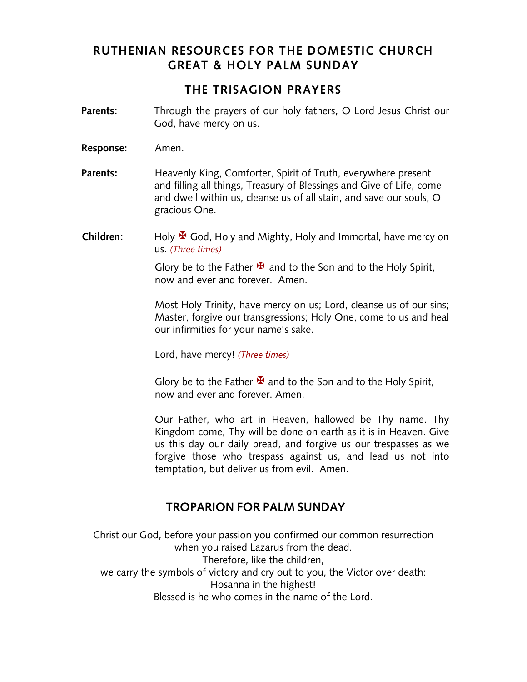## **RUTHENIAN RESOURCES FOR THE DOMESTIC CHURCH GREAT & HOLY PALM SUNDAY**

#### **THE TRISAGION PRAYERS**

- **Parents:** Through the prayers of our holy fathers, O Lord Jesus Christ our God, have mercy on us.
- **Response:** Amen.
- **Parents:** Heavenly King, Comforter, Spirit of Truth, everywhere present and filling all things, Treasury of Blessings and Give of Life, come and dwell within us, cleanse us of all stain, and save our souls, O gracious One.
- **Children:** Holy **¥** God, Holy and Mighty, Holy and Immortal, have mercy on us. *(Three times)*

Glory be to the Father  $\mathbf{\Psi}$  and to the Son and to the Holy Spirit, now and ever and forever. Amen.

Most Holy Trinity, have mercy on us; Lord, cleanse us of our sins; Master, forgive our transgressions; Holy One, come to us and heal our infirmities for your name's sake.

Lord, have mercy! *(Three times)*

Glory be to the Father  $\mathbf{\bar{X}}$  and to the Son and to the Holy Spirit, now and ever and forever. Amen.

Our Father, who art in Heaven, hallowed be Thy name. Thy Kingdom come, Thy will be done on earth as it is in Heaven. Give us this day our daily bread, and forgive us our trespasses as we forgive those who trespass against us, and lead us not into temptation, but deliver us from evil. Amen.

## **TROPARION FOR PALM SUNDAY**

Christ our God, before your passion you confirmed our common resurrection when you raised Lazarus from the dead. Therefore, like the children, we carry the symbols of victory and cry out to you, the Victor over death: Hosanna in the highest! Blessed is he who comes in the name of the Lord.